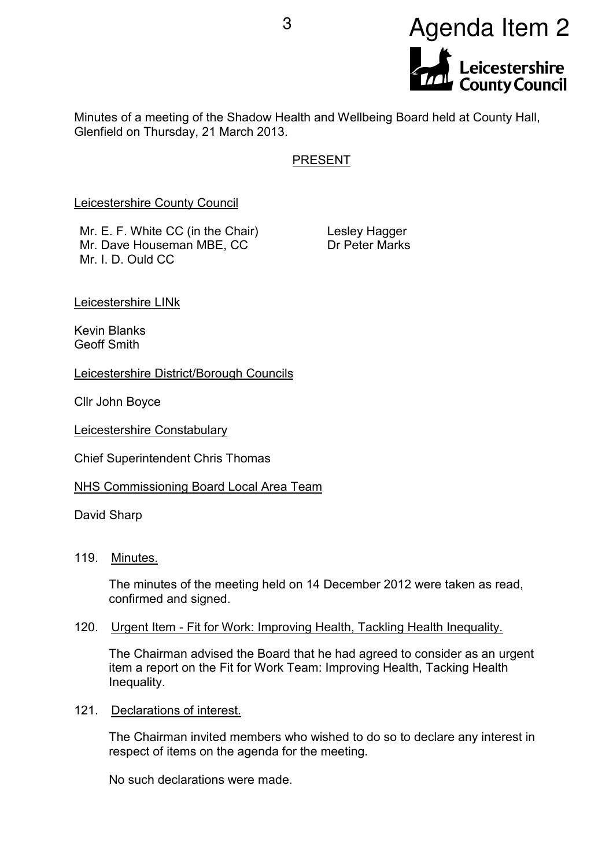

Minutes of a meeting of the Shadow Health and Wellbeing Board held at County Hall, Glenfield on Thursday, 21 March 2013.

# PRESENT

Leicestershire County Council

Mr. E. F. White CC (in the Chair) Mr. Dave Houseman MBE, CC Mr. I. D. Ould CC

Lesley Hagger Dr Peter Marks

Leicestershire LINk

Kevin Blanks Geoff Smith

Leicestershire District/Borough Councils

Cllr John Boyce

Leicestershire Constabulary

Chief Superintendent Chris Thomas

NHS Commissioning Board Local Area Team

David Sharp

119. Minutes.

The minutes of the meeting held on 14 December 2012 were taken as read, confirmed and signed.

#### 120. Urgent Item - Fit for Work: Improving Health, Tackling Health Inequality.

The Chairman advised the Board that he had agreed to consider as an urgent item a report on the Fit for Work Team: Improving Health, Tacking Health Inequality.

121. Declarations of interest.

The Chairman invited members who wished to do so to declare any interest in respect of items on the agenda for the meeting.

No such declarations were made.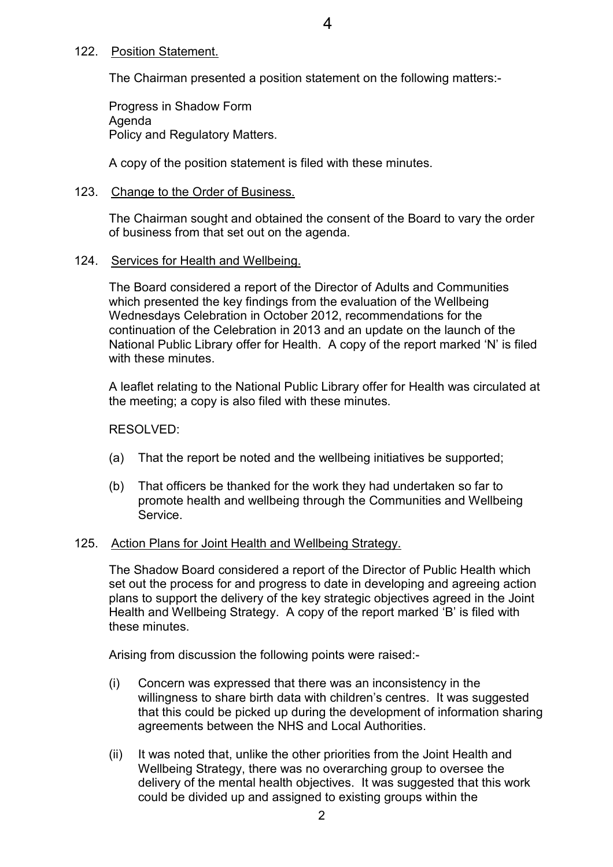#### 122. Position Statement.

The Chairman presented a position statement on the following matters:-

Progress in Shadow Form Agenda Policy and Regulatory Matters.

A copy of the position statement is filed with these minutes.

#### 123. Change to the Order of Business.

The Chairman sought and obtained the consent of the Board to vary the order of business from that set out on the agenda.

#### 124. Services for Health and Wellbeing.

The Board considered a report of the Director of Adults and Communities which presented the key findings from the evaluation of the Wellbeing Wednesdays Celebration in October 2012, recommendations for the continuation of the Celebration in 2013 and an update on the launch of the National Public Library offer for Health. A copy of the report marked 'N' is filed with these minutes

A leaflet relating to the National Public Library offer for Health was circulated at the meeting; a copy is also filed with these minutes.

RESOLVED:

- (a) That the report be noted and the wellbeing initiatives be supported;
- (b) That officers be thanked for the work they had undertaken so far to promote health and wellbeing through the Communities and Wellbeing Service.

## 125. Action Plans for Joint Health and Wellbeing Strategy.

The Shadow Board considered a report of the Director of Public Health which set out the process for and progress to date in developing and agreeing action plans to support the delivery of the key strategic objectives agreed in the Joint Health and Wellbeing Strategy. A copy of the report marked 'B' is filed with these minutes.

Arising from discussion the following points were raised:-

- (i) Concern was expressed that there was an inconsistency in the willingness to share birth data with children's centres. It was suggested that this could be picked up during the development of information sharing agreements between the NHS and Local Authorities.
- (ii) It was noted that, unlike the other priorities from the Joint Health and Wellbeing Strategy, there was no overarching group to oversee the delivery of the mental health objectives. It was suggested that this work could be divided up and assigned to existing groups within the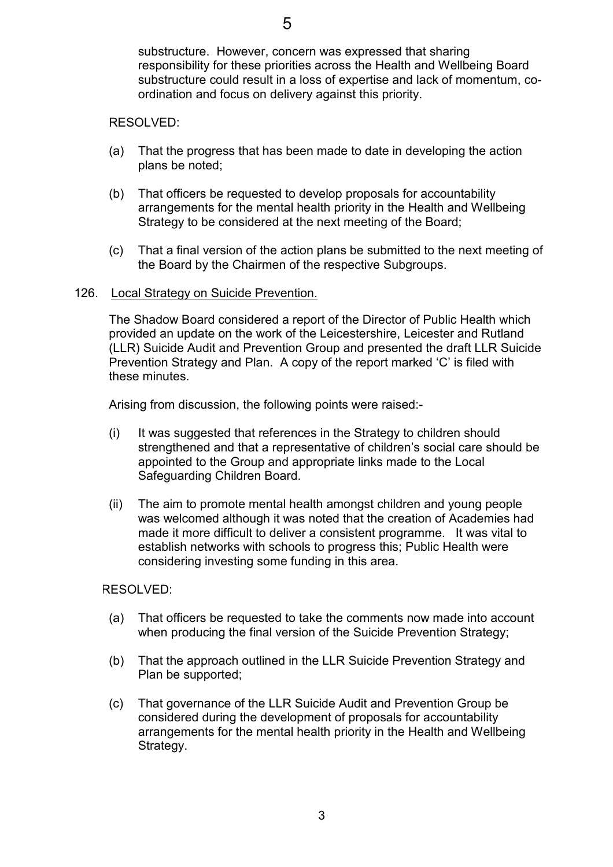substructure. However, concern was expressed that sharing responsibility for these priorities across the Health and Wellbeing Board substructure could result in a loss of expertise and lack of momentum, coordination and focus on delivery against this priority.

## RESOLVED:

- (a) That the progress that has been made to date in developing the action plans be noted;
- (b) That officers be requested to develop proposals for accountability arrangements for the mental health priority in the Health and Wellbeing Strategy to be considered at the next meeting of the Board;
- (c) That a final version of the action plans be submitted to the next meeting of the Board by the Chairmen of the respective Subgroups.

## 126. Local Strategy on Suicide Prevention.

The Shadow Board considered a report of the Director of Public Health which provided an update on the work of the Leicestershire, Leicester and Rutland (LLR) Suicide Audit and Prevention Group and presented the draft LLR Suicide Prevention Strategy and Plan. A copy of the report marked 'C' is filed with these minutes.

Arising from discussion, the following points were raised:-

- (i) It was suggested that references in the Strategy to children should strengthened and that a representative of children's social care should be appointed to the Group and appropriate links made to the Local Safeguarding Children Board.
- (ii) The aim to promote mental health amongst children and young people was welcomed although it was noted that the creation of Academies had made it more difficult to deliver a consistent programme. It was vital to establish networks with schools to progress this; Public Health were considering investing some funding in this area.

- (a) That officers be requested to take the comments now made into account when producing the final version of the Suicide Prevention Strategy;
- (b) That the approach outlined in the LLR Suicide Prevention Strategy and Plan be supported;
- (c) That governance of the LLR Suicide Audit and Prevention Group be considered during the development of proposals for accountability arrangements for the mental health priority in the Health and Wellbeing Strategy.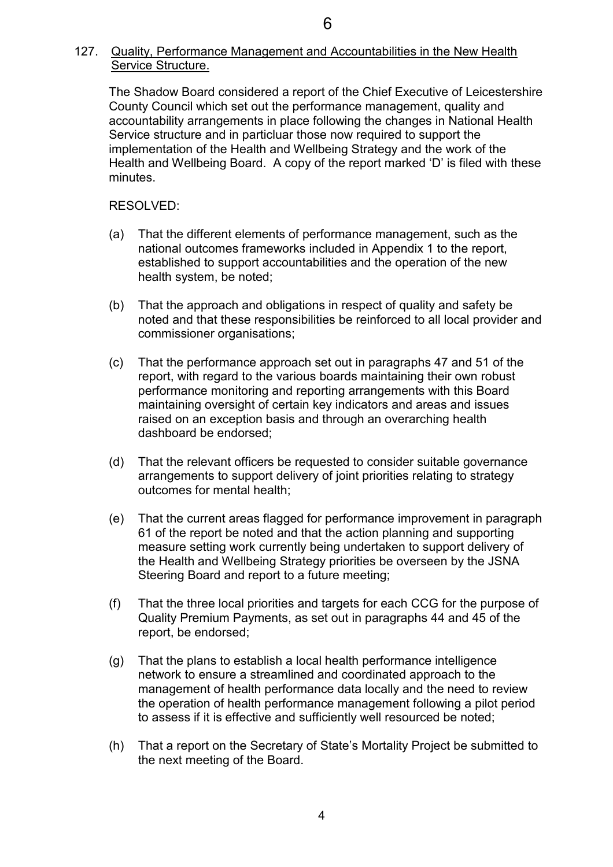# 127. Quality, Performance Management and Accountabilities in the New Health Service Structure.

The Shadow Board considered a report of the Chief Executive of Leicestershire County Council which set out the performance management, quality and accountability arrangements in place following the changes in National Health Service structure and in particluar those now required to support the implementation of the Health and Wellbeing Strategy and the work of the Health and Wellbeing Board. A copy of the report marked 'D' is filed with these minutes.

- (a) That the different elements of performance management, such as the national outcomes frameworks included in Appendix 1 to the report, established to support accountabilities and the operation of the new health system, be noted;
- (b) That the approach and obligations in respect of quality and safety be noted and that these responsibilities be reinforced to all local provider and commissioner organisations;
- (c) That the performance approach set out in paragraphs 47 and 51 of the report, with regard to the various boards maintaining their own robust performance monitoring and reporting arrangements with this Board maintaining oversight of certain key indicators and areas and issues raised on an exception basis and through an overarching health dashboard be endorsed;
- (d) That the relevant officers be requested to consider suitable governance arrangements to support delivery of joint priorities relating to strategy outcomes for mental health;
- (e) That the current areas flagged for performance improvement in paragraph 61 of the report be noted and that the action planning and supporting measure setting work currently being undertaken to support delivery of the Health and Wellbeing Strategy priorities be overseen by the JSNA Steering Board and report to a future meeting;
- (f) That the three local priorities and targets for each CCG for the purpose of Quality Premium Payments, as set out in paragraphs 44 and 45 of the report, be endorsed;
- (g) That the plans to establish a local health performance intelligence network to ensure a streamlined and coordinated approach to the management of health performance data locally and the need to review the operation of health performance management following a pilot period to assess if it is effective and sufficiently well resourced be noted;
- (h) That a report on the Secretary of State's Mortality Project be submitted to the next meeting of the Board.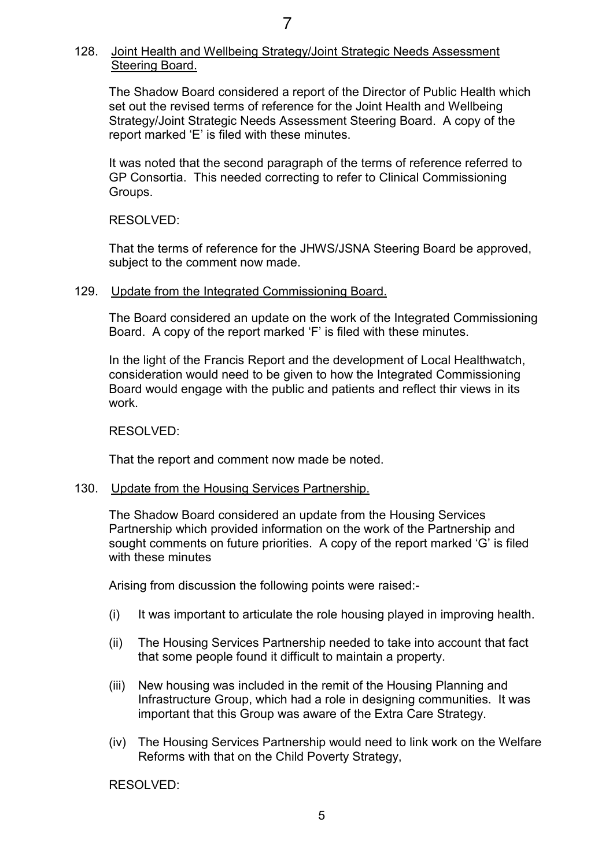# 128. Joint Health and Wellbeing Strategy/Joint Strategic Needs Assessment Steering Board.

The Shadow Board considered a report of the Director of Public Health which set out the revised terms of reference for the Joint Health and Wellbeing Strategy/Joint Strategic Needs Assessment Steering Board. A copy of the report marked 'E' is filed with these minutes.

It was noted that the second paragraph of the terms of reference referred to GP Consortia. This needed correcting to refer to Clinical Commissioning Groups.

RESOLVED:

That the terms of reference for the JHWS/JSNA Steering Board be approved, subject to the comment now made.

#### 129. Update from the Integrated Commissioning Board.

The Board considered an update on the work of the Integrated Commissioning Board. A copy of the report marked 'F' is filed with these minutes.

In the light of the Francis Report and the development of Local Healthwatch, consideration would need to be given to how the Integrated Commissioning Board would engage with the public and patients and reflect thir views in its work.

RESOLVED:

That the report and comment now made be noted.

#### 130. Update from the Housing Services Partnership.

The Shadow Board considered an update from the Housing Services Partnership which provided information on the work of the Partnership and sought comments on future priorities. A copy of the report marked 'G' is filed with these minutes

Arising from discussion the following points were raised:-

- (i) It was important to articulate the role housing played in improving health.
- (ii) The Housing Services Partnership needed to take into account that fact that some people found it difficult to maintain a property.
- (iii) New housing was included in the remit of the Housing Planning and Infrastructure Group, which had a role in designing communities. It was important that this Group was aware of the Extra Care Strategy.
- (iv) The Housing Services Partnership would need to link work on the Welfare Reforms with that on the Child Poverty Strategy,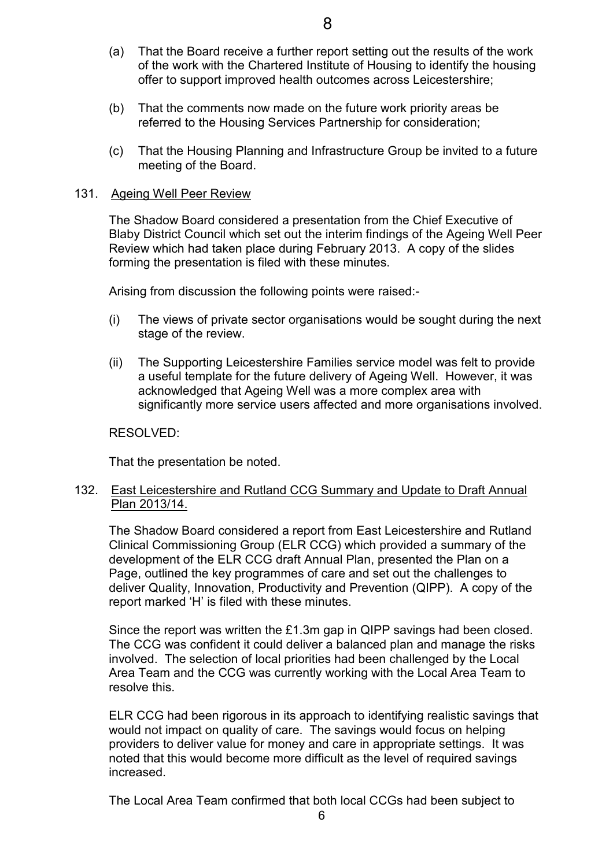- (a) That the Board receive a further report setting out the results of the work of the work with the Chartered Institute of Housing to identify the housing
- (b) That the comments now made on the future work priority areas be referred to the Housing Services Partnership for consideration;

offer to support improved health outcomes across Leicestershire;

(c) That the Housing Planning and Infrastructure Group be invited to a future meeting of the Board.

#### 131. Ageing Well Peer Review

The Shadow Board considered a presentation from the Chief Executive of Blaby District Council which set out the interim findings of the Ageing Well Peer Review which had taken place during February 2013. A copy of the slides forming the presentation is filed with these minutes.

Arising from discussion the following points were raised:-

- (i) The views of private sector organisations would be sought during the next stage of the review.
- (ii) The Supporting Leicestershire Families service model was felt to provide a useful template for the future delivery of Ageing Well. However, it was acknowledged that Ageing Well was a more complex area with significantly more service users affected and more organisations involved.

RESOLVED:

That the presentation be noted.

## 132. East Leicestershire and Rutland CCG Summary and Update to Draft Annual Plan 2013/14.

The Shadow Board considered a report from East Leicestershire and Rutland Clinical Commissioning Group (ELR CCG) which provided a summary of the development of the ELR CCG draft Annual Plan, presented the Plan on a Page, outlined the key programmes of care and set out the challenges to deliver Quality, Innovation, Productivity and Prevention (QIPP). A copy of the report marked 'H' is filed with these minutes.

Since the report was written the £1.3m gap in QIPP savings had been closed. The CCG was confident it could deliver a balanced plan and manage the risks involved. The selection of local priorities had been challenged by the Local Area Team and the CCG was currently working with the Local Area Team to resolve this.

ELR CCG had been rigorous in its approach to identifying realistic savings that would not impact on quality of care. The savings would focus on helping providers to deliver value for money and care in appropriate settings. It was noted that this would become more difficult as the level of required savings increased.

The Local Area Team confirmed that both local CCGs had been subject to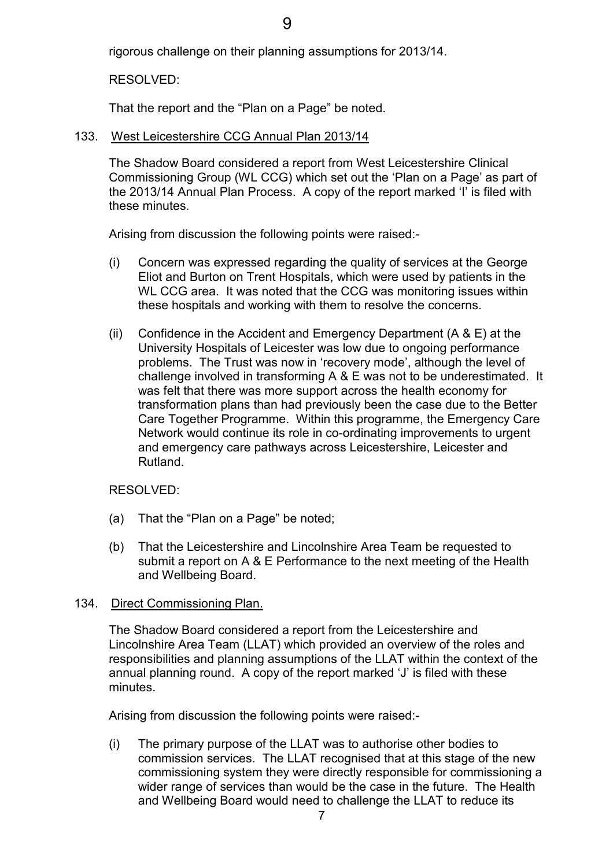rigorous challenge on their planning assumptions for 2013/14.

RESOLVED:

That the report and the "Plan on a Page" be noted.

## 133. West Leicestershire CCG Annual Plan 2013/14

The Shadow Board considered a report from West Leicestershire Clinical Commissioning Group (WL CCG) which set out the 'Plan on a Page' as part of the 2013/14 Annual Plan Process. A copy of the report marked 'I' is filed with these minutes.

Arising from discussion the following points were raised:-

- (i) Concern was expressed regarding the quality of services at the George Eliot and Burton on Trent Hospitals, which were used by patients in the WL CCG area. It was noted that the CCG was monitoring issues within these hospitals and working with them to resolve the concerns.
- (ii) Confidence in the Accident and Emergency Department (A & E) at the University Hospitals of Leicester was low due to ongoing performance problems. The Trust was now in 'recovery mode', although the level of challenge involved in transforming A & E was not to be underestimated. It was felt that there was more support across the health economy for transformation plans than had previously been the case due to the Better Care Together Programme. Within this programme, the Emergency Care Network would continue its role in co-ordinating improvements to urgent and emergency care pathways across Leicestershire, Leicester and Rutland.

## RESOLVED:

- (a) That the "Plan on a Page" be noted;
- (b) That the Leicestershire and Lincolnshire Area Team be requested to submit a report on A & E Performance to the next meeting of the Health and Wellbeing Board.

## 134. Direct Commissioning Plan.

The Shadow Board considered a report from the Leicestershire and Lincolnshire Area Team (LLAT) which provided an overview of the roles and responsibilities and planning assumptions of the LLAT within the context of the annual planning round. A copy of the report marked 'J' is filed with these minutes.

Arising from discussion the following points were raised:-

(i) The primary purpose of the LLAT was to authorise other bodies to commission services. The LLAT recognised that at this stage of the new commissioning system they were directly responsible for commissioning a wider range of services than would be the case in the future. The Health and Wellbeing Board would need to challenge the LLAT to reduce its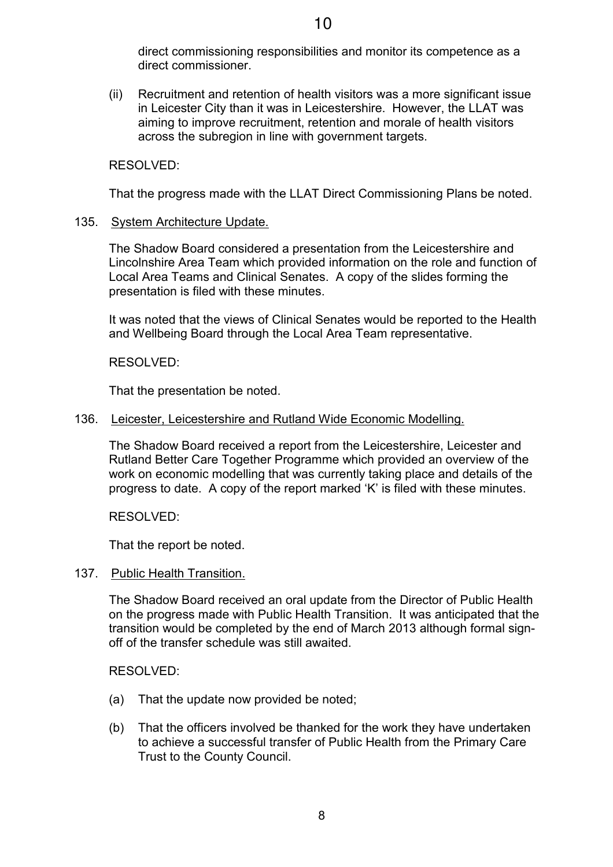direct commissioning responsibilities and monitor its competence as a direct commissioner.

(ii) Recruitment and retention of health visitors was a more significant issue in Leicester City than it was in Leicestershire. However, the LLAT was aiming to improve recruitment, retention and morale of health visitors across the subregion in line with government targets.

## RESOLVED:

That the progress made with the LLAT Direct Commissioning Plans be noted.

## 135. System Architecture Update.

The Shadow Board considered a presentation from the Leicestershire and Lincolnshire Area Team which provided information on the role and function of Local Area Teams and Clinical Senates. A copy of the slides forming the presentation is filed with these minutes.

It was noted that the views of Clinical Senates would be reported to the Health and Wellbeing Board through the Local Area Team representative.

#### RESOLVED:

That the presentation be noted.

#### 136. Leicester, Leicestershire and Rutland Wide Economic Modelling.

The Shadow Board received a report from the Leicestershire, Leicester and Rutland Better Care Together Programme which provided an overview of the work on economic modelling that was currently taking place and details of the progress to date. A copy of the report marked 'K' is filed with these minutes.

RESOLVED:

That the report be noted.

137. Public Health Transition.

The Shadow Board received an oral update from the Director of Public Health on the progress made with Public Health Transition. It was anticipated that the transition would be completed by the end of March 2013 although formal signoff of the transfer schedule was still awaited.

- (a) That the update now provided be noted;
- (b) That the officers involved be thanked for the work they have undertaken to achieve a successful transfer of Public Health from the Primary Care Trust to the County Council.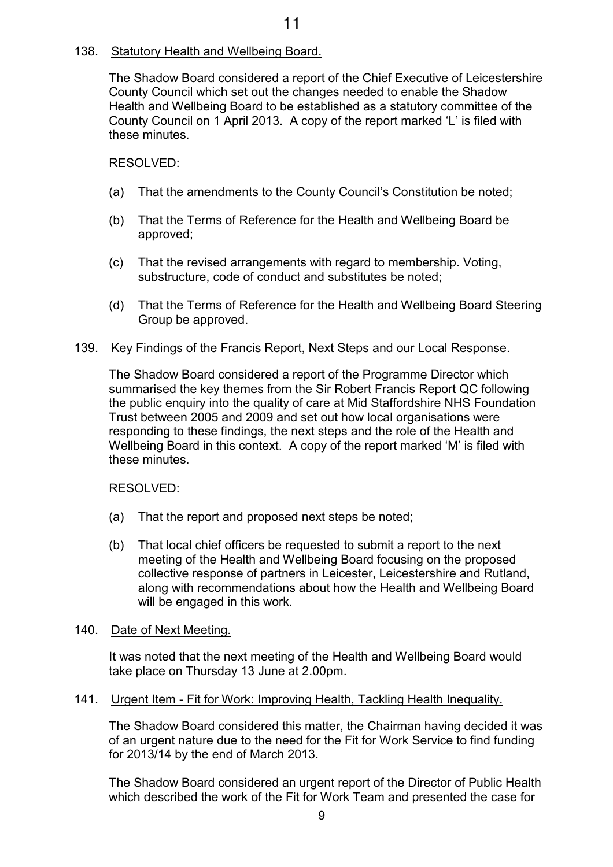# 138. Statutory Health and Wellbeing Board.

The Shadow Board considered a report of the Chief Executive of Leicestershire County Council which set out the changes needed to enable the Shadow Health and Wellbeing Board to be established as a statutory committee of the County Council on 1 April 2013. A copy of the report marked 'L' is filed with these minutes.

## RESOLVED:

- (a) That the amendments to the County Council's Constitution be noted;
- (b) That the Terms of Reference for the Health and Wellbeing Board be approved;
- (c) That the revised arrangements with regard to membership. Voting, substructure, code of conduct and substitutes be noted;
- (d) That the Terms of Reference for the Health and Wellbeing Board Steering Group be approved.

#### 139. Key Findings of the Francis Report, Next Steps and our Local Response.

The Shadow Board considered a report of the Programme Director which summarised the key themes from the Sir Robert Francis Report QC following the public enquiry into the quality of care at Mid Staffordshire NHS Foundation Trust between 2005 and 2009 and set out how local organisations were responding to these findings, the next steps and the role of the Health and Wellbeing Board in this context. A copy of the report marked 'M' is filed with these minutes.

RESOLVED:

- (a) That the report and proposed next steps be noted;
- (b) That local chief officers be requested to submit a report to the next meeting of the Health and Wellbeing Board focusing on the proposed collective response of partners in Leicester, Leicestershire and Rutland, along with recommendations about how the Health and Wellbeing Board will be engaged in this work.

#### 140. Date of Next Meeting.

It was noted that the next meeting of the Health and Wellbeing Board would take place on Thursday 13 June at 2.00pm.

#### 141. Urgent Item - Fit for Work: Improving Health, Tackling Health Inequality.

The Shadow Board considered this matter, the Chairman having decided it was of an urgent nature due to the need for the Fit for Work Service to find funding for 2013/14 by the end of March 2013.

The Shadow Board considered an urgent report of the Director of Public Health which described the work of the Fit for Work Team and presented the case for